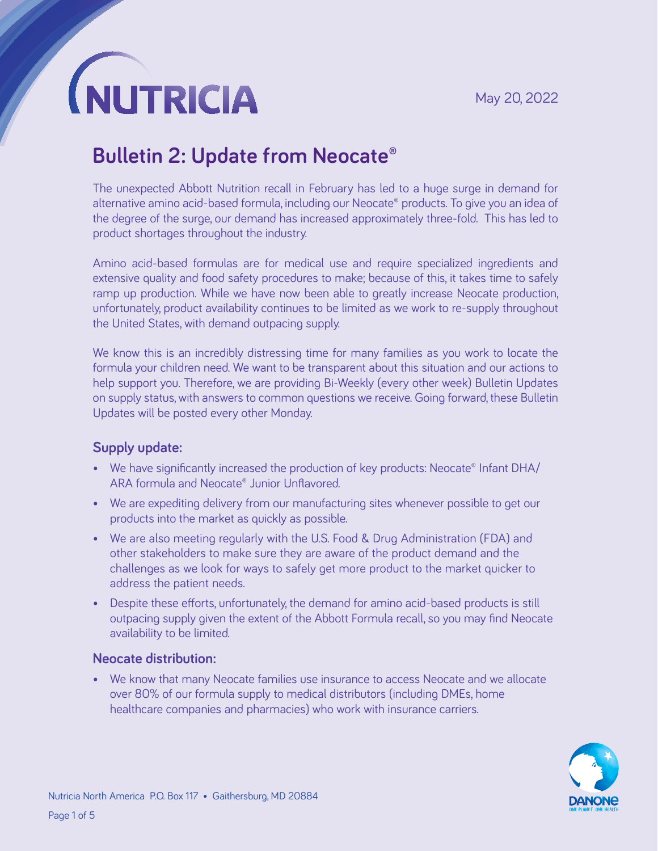### **Bulletin 2: Update from Neocate®**

The unexpected Abbott Nutrition recall in February has led to a huge surge in demand for alternative amino acid-based formula, including our Neocate® products. To give you an idea of the degree of the surge, our demand has increased approximately three-fold. This has led to product shortages throughout the industry.

Amino acid-based formulas are for medical use and require specialized ingredients and extensive quality and food safety procedures to make; because of this, it takes time to safely ramp up production. While we have now been able to greatly increase Neocate production, unfortunately, product availability continues to be limited as we work to re-supply throughout the United States, with demand outpacing supply.

We know this is an incredibly distressing time for many families as you work to locate the formula your children need. We want to be transparent about this situation and our actions to help support you. Therefore, we are providing Bi-Weekly (every other week) Bulletin Updates on supply status, with answers to common questions we receive. Going forward, these Bulletin Updates will be posted every other Monday.

#### **Supply update:**

- We have significantly increased the production of key products: Neocate® Infant DHA/ ARA formula and Neocate® Junior Unflavored.
- We are expediting delivery from our manufacturing sites whenever possible to get our products into the market as quickly as possible.
- We are also meeting regularly with the U.S. Food & Drug Administration (FDA) and other stakeholders to make sure they are aware of the product demand and the challenges as we look for ways to safely get more product to the market quicker to address the patient needs.
- Despite these efforts, unfortunately, the demand for amino acid-based products is still outpacing supply given the extent of the Abbott Formula recall, so you may find Neocate availability to be limited.

#### **Neocate distribution:**

• We know that many Neocate families use insurance to access Neocate and we allocate over 80% of our formula supply to medical distributors (including DMEs, home healthcare companies and pharmacies) who work with insurance carriers.

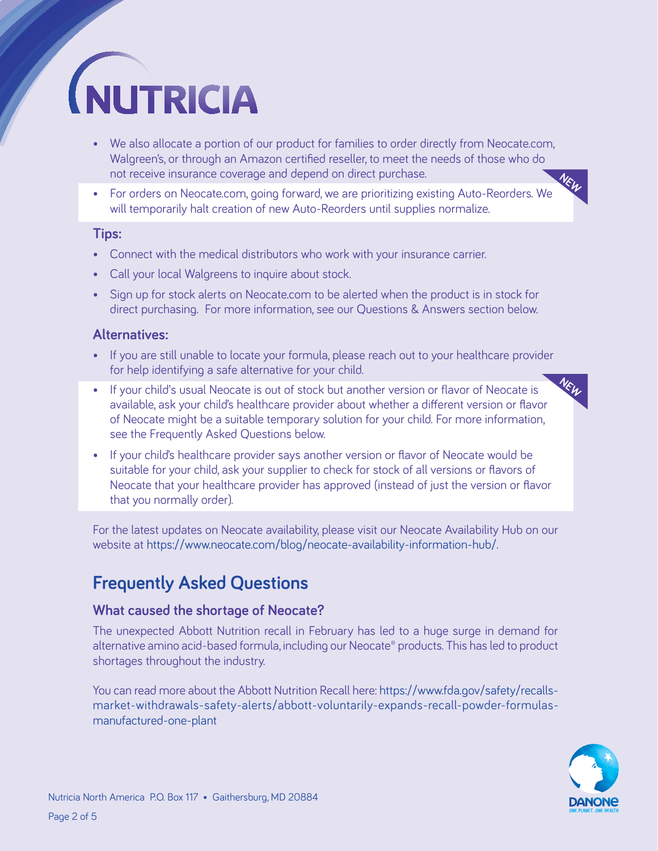- We also allocate a portion of our product for families to order directly from Neocate.com, Walgreen's, or through an Amazon certified reseller, to meet the needs of those who do not receive insurance coverage and depend on direct purchase.
- For orders on Neocate.com, going forward, we are prioritizing existing Auto-Reorders. We will temporarily halt creation of new Auto-Reorders until supplies normalize.

#### **Tips:**

- Connect with the medical distributors who work with your insurance carrier.
- Call your local Walgreens to inquire about stock.
- Sign up for stock alerts on Neocate.com to be alerted when the product is in stock for direct purchasing. For more information, see our Questions & Answers section below.

#### **Alternatives:**

- If you are still unable to locate your formula, please reach out to your healthcare provider for help identifying a safe alternative for your child.
- If your child's usual Neocate is out of stock but another version or flavor of Neocate is available, ask your child's healthcare provider about whether a different version or flavor of Neocate might be a suitable temporary solution for your child. For more information, see the Frequently Asked Questions below.
- If your child's healthcare provider says another version or flavor of Neocate would be suitable for your child, ask your supplier to check for stock of all versions or flavors of Neocate that your healthcare provider has approved (instead of just the version or flavor that you normally order).

For the latest updates on Neocate availability, please visit our Neocate Availability Hub on our website at <https://www.neocate.com/blog/neocate-availability-information-hub/>.

### **Frequently Asked Questions**

#### **What caused the shortage of Neocate?**

The unexpected Abbott Nutrition recall in February has led to a huge surge in demand for alternative amino acid-based formula, including our Neocate® products. This has led to product shortages throughout the industry.

You can read more about the Abbott Nutrition Recall here: [https://www.fda.gov/safety/recalls](https://www.fda.gov/safety/recalls-market-withdrawals-safety-alerts/abbott-voluntarily-expands-recall-powder-formulas-manufactured-one-plant)[market-withdrawals-safety-alerts/abbott-voluntarily-expands-recall-powder-formulas](https://www.fda.gov/safety/recalls-market-withdrawals-safety-alerts/abbott-voluntarily-expands-recall-powder-formulas-manufactured-one-plant)[manufactured-one-plant](https://www.fda.gov/safety/recalls-market-withdrawals-safety-alerts/abbott-voluntarily-expands-recall-powder-formulas-manufactured-one-plant)



**NEW**

**NEW**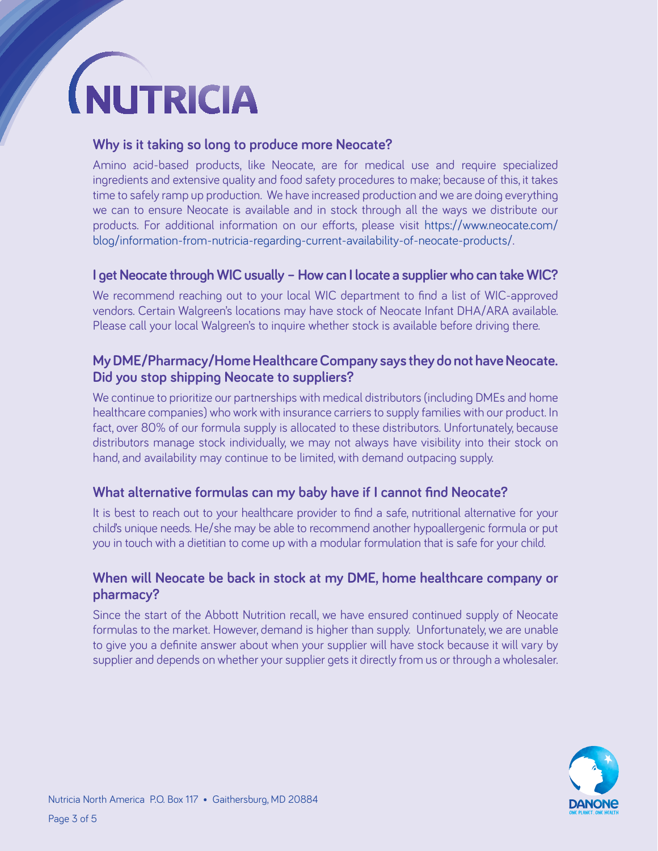#### **Why is it taking so long to produce more Neocate?**

Amino acid-based products, like Neocate, are for medical use and require specialized ingredients and extensive quality and food safety procedures to make; because of this, it takes time to safely ramp up production. We have increased production and we are doing everything we can to ensure Neocate is available and in stock through all the ways we distribute our products. For additional information on our efforts, please visit [https://www.neocate.com/](https://www.neocate.com/blog/information-from-nutricia-regarding-current-availability-of-neocate-products/) [blog/information-from-nutricia-regarding-current-availability-of-neocate-products/](https://www.neocate.com/blog/information-from-nutricia-regarding-current-availability-of-neocate-products/).

#### **I get Neocate through WIC usually – How can I locate a supplier who can take WIC?**

We recommend reaching out to your local WIC department to find a list of WIC-approved vendors. Certain Walgreen's locations may have stock of Neocate Infant DHA/ARA available. Please call your local Walgreen's to inquire whether stock is available before driving there.

#### **My DME/Pharmacy/Home Healthcare Company says they do not have Neocate. Did you stop shipping Neocate to suppliers?**

We continue to prioritize our partnerships with medical distributors (including DMEs and home healthcare companies) who work with insurance carriers to supply families with our product. In fact, over 80% of our formula supply is allocated to these distributors. Unfortunately, because distributors manage stock individually, we may not always have visibility into their stock on hand, and availability may continue to be limited, with demand outpacing supply.

#### **What alternative formulas can my baby have if I cannot find Neocate?**

It is best to reach out to your healthcare provider to find a safe, nutritional alternative for your child's unique needs. He/she may be able to recommend another hypoallergenic formula or put you in touch with a dietitian to come up with a modular formulation that is safe for your child.

#### **When will Neocate be back in stock at my DME, home healthcare company or pharmacy?**

Since the start of the Abbott Nutrition recall, we have ensured continued supply of Neocate formulas to the market. However, demand is higher than supply. Unfortunately, we are unable to give you a definite answer about when your supplier will have stock because it will vary by supplier and depends on whether your supplier gets it directly from us or through a wholesaler.

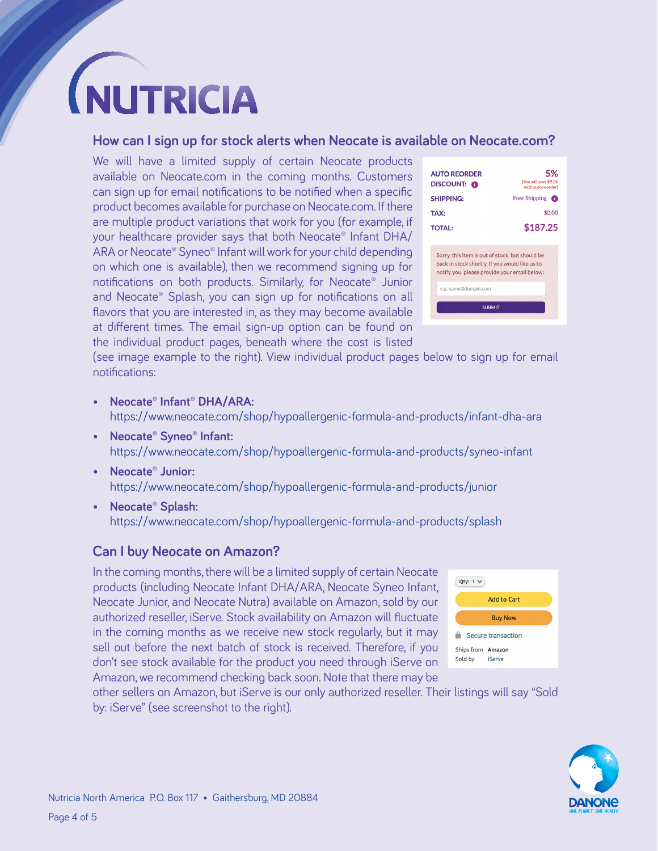#### **How can I sign up for stock alerts when Neocate is available on Neocate.com?**

We will have a limited supply of certain Neocate products available on Neocate.com in the coming months. Customers can sign up for email notifications to be notified when a specific product becomes available for purchase on Neocate.com. If there are multiple product variations that work for you (for example, if your healthcare provider says that both Neocate® Infant DHA/ ARA or Neocate® Syneo® Infant will work for your child depending on which one is available), then we recommend signing up for notifications on both products. Similarly, for Neocate® Junior and Neocate® Splash, you can sign up for notifications on all flavors that you are interested in, as they may become available at different times. The email sign-up option can be found on the individual product pages, beneath where the cost is listed

| <b>AUTO REORDER</b><br><b>DISCOUNT:</b>                                                                                                           | 5%<br>(You will save \$9.36)<br>with auto reorder) |
|---------------------------------------------------------------------------------------------------------------------------------------------------|----------------------------------------------------|
| <b>SHIPPING:</b>                                                                                                                                  | Free Shipping <b>the</b>                           |
| TAX:                                                                                                                                              | \$0.00                                             |
| <b>TOTAL:</b>                                                                                                                                     | \$187.25                                           |
| Sorry, this item is out of stock, but should be<br>back in stock shortly. If you would like us to<br>notify you, please provide your email below: |                                                    |

(see image example to the right). View individual product pages below to sign up for email notifications:

- **• Neocate® Infant® DHA/ARA:**  <https://www.neocate.com/shop/hypoallergenic-formula-and-products/infant-dha-ara>
- **• Neocate® Syneo® Infant:**  <https://www.neocate.com/shop/hypoallergenic-formula-and-products/syneo-infant>
- **• Neocate® Junior:**  <https://www.neocate.com/shop/hypoallergenic-formula-and-products/junior>
- **• Neocate® Splash:**  <https://www.neocate.com/shop/hypoallergenic-formula-and-products/splash>

#### **Can I buy Neocate on Amazon?**

In the coming months, there will be a limited supply of certain Neocate products (including Neocate Infant DHA/ARA, Neocate Syneo Infant, Neocate Junior, and Neocate Nutra) available on Amazon, sold by our authorized reseller, iServe. Stock availability on Amazon will fluctuate in the coming months as we receive new stock regularly, but it may sell out before the next batch of stock is received. Therefore, if you don't see stock available for the product you need through iServe on Amazon, we recommend checking back soon. Note that there may be



other sellers on Amazon, but iServe is our only authorized reseller. Their listings will say "Sold by: iServe" (see screenshot to the right).